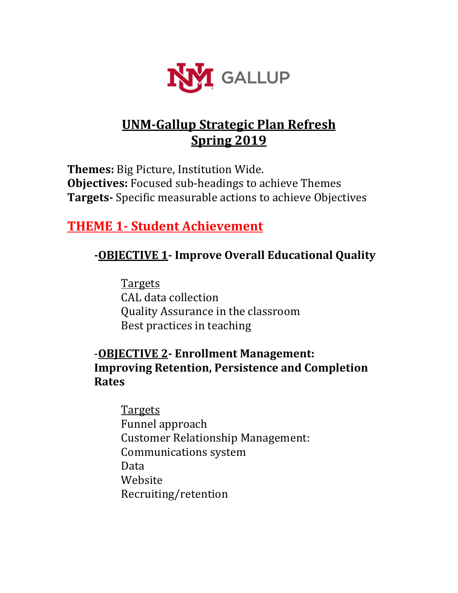

# **UNM-Gallup Strategic Plan Refresh Spring 2019**

**Themes:** Big Picture, Institution Wide. **Objectives:** Focused sub-headings to achieve Themes **Targets-** Specific measurable actions to achieve Objectives

# **THEME 1- Student Achievement**

## **-OBJECTIVE 1- Improve Overall Educational Quality**

Targets CAL data collection Quality Assurance in the classroom Best practices in teaching

## -**OBJECTIVE 2- Enrollment Management: Improving Retention, Persistence and Completion Rates**

**Targets** Funnel approach Customer Relationship Management: Communications system Data Website Recruiting/retention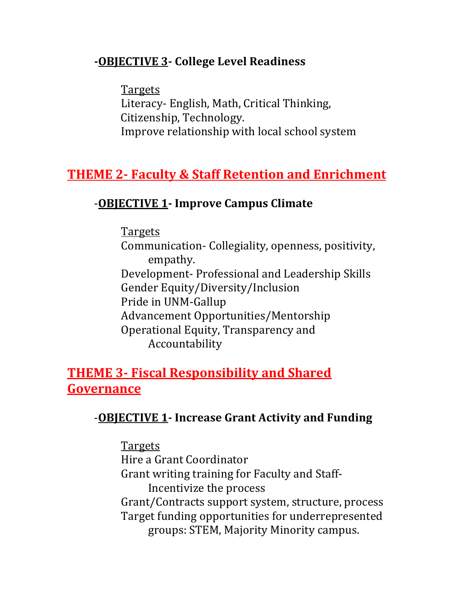## **-OBJECTIVE 3- College Level Readiness**

**Targets** Literacy- English, Math, Critical Thinking, Citizenship, Technology. Improve relationship with local school system

# **THEME 2- Faculty & Staff Retention and Enrichment**

# -**OBJECTIVE 1- Improve Campus Climate**

Targets Communication- Collegiality, openness, positivity, empathy. Development- Professional and Leadership Skills Gender Equity/Diversity/Inclusion Pride in UNM-Gallup Advancement Opportunities/Mentorship Operational Equity, Transparency and Accountability

# **THEME 3- Fiscal Responsibility and Shared Governance**

## -**OBJECTIVE 1- Increase Grant Activity and Funding**

## Targets

Hire a Grant Coordinator Grant writing training for Faculty and Staff-Incentivize the process Grant/Contracts support system, structure, process Target funding opportunities for underrepresented groups: STEM, Majority Minority campus.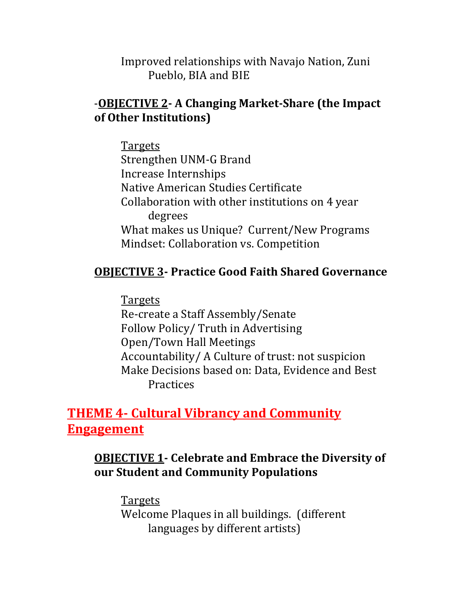Improved relationships with Navajo Nation, Zuni Pueblo, BIA and BIE

## -**OBJECTIVE 2- A Changing Market-Share (the Impact of Other Institutions)**

Targets Strengthen UNM-G Brand Increase Internships Native American Studies Certificate Collaboration with other institutions on 4 year degrees What makes us Unique? Current/New Programs Mindset: Collaboration vs. Competition

## **OBJECTIVE 3- Practice Good Faith Shared Governance**

Targets Re-create a Staff Assembly/Senate Follow Policy/ Truth in Advertising Open/Town Hall Meetings Accountability/ A Culture of trust: not suspicion Make Decisions based on: Data, Evidence and Best **Practices** 

# **THEME 4- Cultural Vibrancy and Community Engagement**

## **OBJECTIVE 1- Celebrate and Embrace the Diversity of our Student and Community Populations**

Targets Welcome Plaques in all buildings. (different languages by different artists)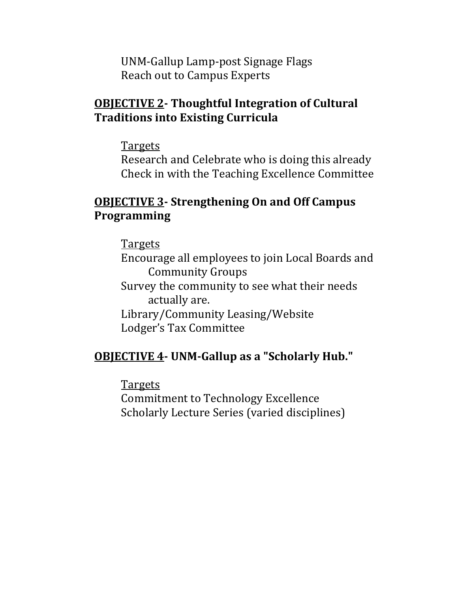UNM-Gallup Lamp-post Signage Flags Reach out to Campus Experts

## **OBJECTIVE 2- Thoughtful Integration of Cultural Traditions into Existing Curricula**

**Targets** 

Research and Celebrate who is doing this already Check in with the Teaching Excellence Committee

## **OBJECTIVE 3- Strengthening On and Off Campus Programming**

**Targets** 

Encourage all employees to join Local Boards and Community Groups Survey the community to see what their needs actually are. Library/Community Leasing/Website Lodger's Tax Committee

## **OBJECTIVE 4- UNM-Gallup as a "Scholarly Hub."**

**Targets** Commitment to Technology Excellence Scholarly Lecture Series (varied disciplines)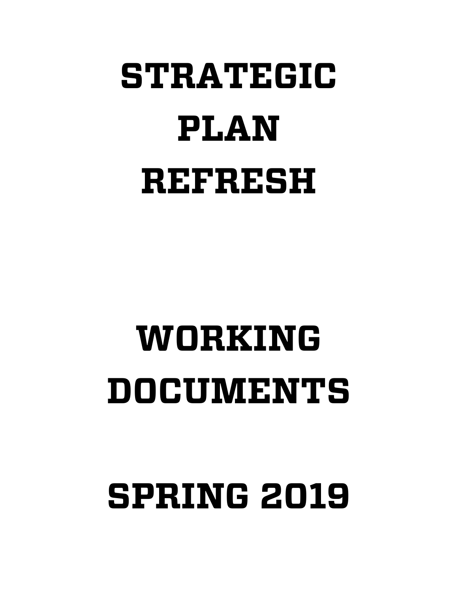# **STRATEGIC PLAN REFRESH**

# **WORKING DOCUMENTS**

**SPRING 2019**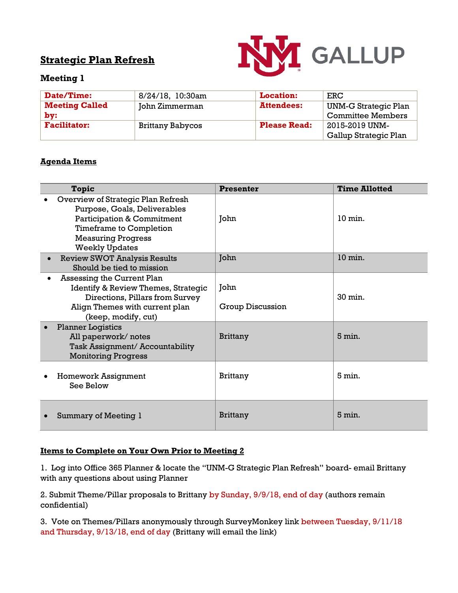## **Strategic Plan Refresh**



#### **Meeting 1**

| Date/Time:            | 8/24/18, 10:30am        | <b>Location:</b>    | ERC                      |
|-----------------------|-------------------------|---------------------|--------------------------|
| <b>Meeting Called</b> | John Zimmerman          | <b>Attendees:</b>   | UNM-G Strategic Plan     |
| $bv$ :                |                         |                     | <b>Committee Members</b> |
| <b>Facilitator:</b>   | <b>Brittany Babycos</b> | <b>Please Read:</b> | 2015-2019 UNM-           |
|                       |                         |                     | Gallup Strategic Plan    |

#### **Agenda Items**

| Topic                                                                                                                                                                                               | <b>Presenter</b>         | <b>Time Allotted</b> |
|-----------------------------------------------------------------------------------------------------------------------------------------------------------------------------------------------------|--------------------------|----------------------|
| Overview of Strategic Plan Refresh<br>Purpose, Goals, Deliverables<br><b>Participation &amp; Commitment</b><br><b>Timeframe to Completion</b><br><b>Measuring Progress</b><br><b>Weekly Updates</b> | John                     | $10 \text{ min}$ .   |
| <b>Review SWOT Analysis Results</b><br>Should be tied to mission                                                                                                                                    | John                     | 10 min.              |
| Assessing the Current Plan<br><b>Identify &amp; Review Themes, Strategic</b><br>Directions, Pillars from Survey<br>Align Themes with current plan<br>(keep, modify, cut)                            | John<br>Group Discussion | 30 min.              |
| <b>Planner Logistics</b><br>All paperwork/notes<br>Task Assignment/ Accountability<br><b>Monitoring Progress</b>                                                                                    | <b>Brittany</b>          | $5 \text{ min}$ .    |
| <b>Homework Assignment</b><br>See Below                                                                                                                                                             | <b>Brittany</b>          | $5 \text{ min.}$     |
| Summary of Meeting 1                                                                                                                                                                                | <b>Brittany</b>          | $5 \text{ min}$ .    |

#### **Items to Complete on Your Own Prior to Meeting 2**

1. Log into Office 365 Planner & locate the "UNM-G Strategic Plan Refresh" board- email Brittany with any questions about using Planner

2. Submit Theme/Pillar proposals to Brittany by Sunday, 9/9/18, end of day (authors remain confidential)

3. Vote on Themes/Pillars anonymously through SurveyMonkey link between Tuesday, 9/11/18 and Thursday, 9/13/18, end of day (Brittany will email the link)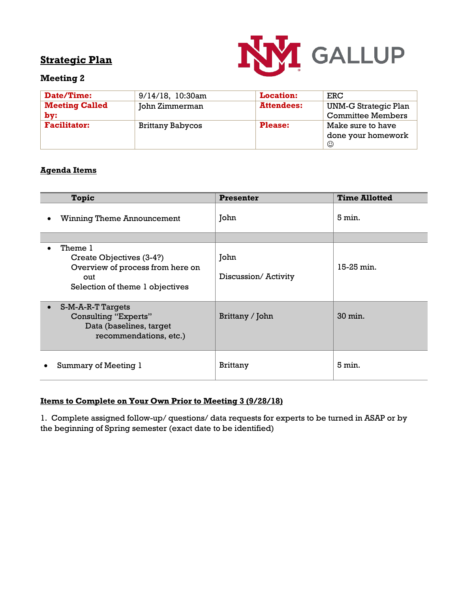

#### **Meeting 2**

| Date/Time:            | $9/14/18$ , 10:30am     | <b>Location:</b>  | ERC                      |
|-----------------------|-------------------------|-------------------|--------------------------|
| <b>Meeting Called</b> | John Zimmerman          | <b>Attendees:</b> | UNM-G Strategic Plan     |
| by:                   |                         |                   | <b>Committee Members</b> |
| <b>Facilitator:</b>   | <b>Brittany Babycos</b> | <b>Please:</b>    | Make sure to have        |
|                       |                         |                   | done your homework       |
|                       |                         |                   | ☺                        |

#### **Agenda Items**

| <b>Topic</b>                                                                                                                   | <b>Presenter</b>            | <b>Time Allotted</b> |
|--------------------------------------------------------------------------------------------------------------------------------|-----------------------------|----------------------|
| <b>Winning Theme Announcement</b>                                                                                              | John                        | $5 \,\mathrm{min}$ . |
|                                                                                                                                |                             |                      |
| Theme 1<br>$\bullet$<br>Create Objectives (3-4?)<br>Overview of process from here on<br>out<br>Selection of theme 1 objectives | John<br>Discussion/Activity | 15-25 min.           |
| S-M-A-R-T Targets<br>$\bullet$<br>Consulting "Experts"<br>Data (baselines, target<br>recommendations, etc.)                    | Brittany / John             | 30 min.              |
| Summary of Meeting 1                                                                                                           | <b>Brittany</b>             | 5 min.               |

#### **Items to Complete on Your Own Prior to Meeting 3 (9/28/18)**

1. Complete assigned follow-up/ questions/ data requests for experts to be turned in ASAP or by the beginning of Spring semester (exact date to be identified)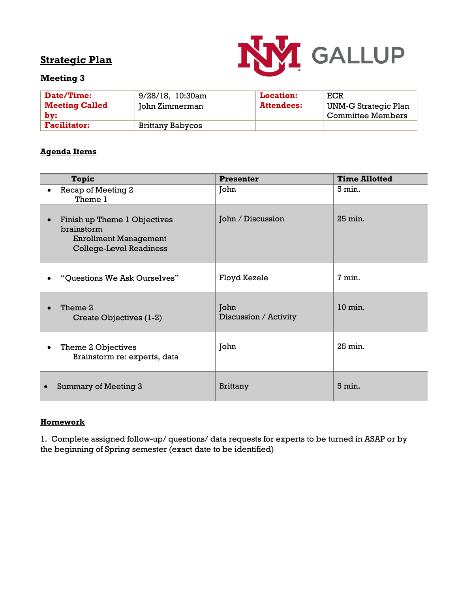

#### **Meeting 3**

| <b>Date/Time:</b>            | 9/28/18, 10:30am | <b>Location:</b>  | ECR                                       |
|------------------------------|------------------|-------------------|-------------------------------------------|
| <b>Meeting Called</b><br>bv: | John Zimmerman   | <b>Attendees:</b> | UNM-G Strategic Plan<br>Committee Members |
| <b>Facilitator:</b>          | Brittany Babycos |                   |                                           |

#### **Agenda Items**

| <b>Topic</b>                                                                                                 | <b>Presenter</b>              | <b>Time Allotted</b> |
|--------------------------------------------------------------------------------------------------------------|-------------------------------|----------------------|
| Recap of Meeting 2<br>Theme 1                                                                                | John                          | $5 \text{ min}$ .    |
| Finish up Theme 1 Objectives<br>brainstorm<br><b>Enrollment Management</b><br><b>College-Level Readiness</b> | John / Discussion             | 25 min.              |
| "Questions We Ask Ourselves"                                                                                 | Floyd Kezele                  | 7 min.               |
| Theme 2<br>Create Objectives (1-2)                                                                           | John<br>Discussion / Activity | $10 \text{ min.}$    |
| Theme 2 Objectives<br>Brainstorm re: experts, data                                                           | John                          | 25 min.              |
| Summary of Meeting 3                                                                                         | <b>Brittany</b>               | 5 min.               |

#### **Homework**

1. Complete assigned follow-up/ questions/ data requests for experts to be turned in ASAP or by the beginning of Spring semester (exact date to be identified)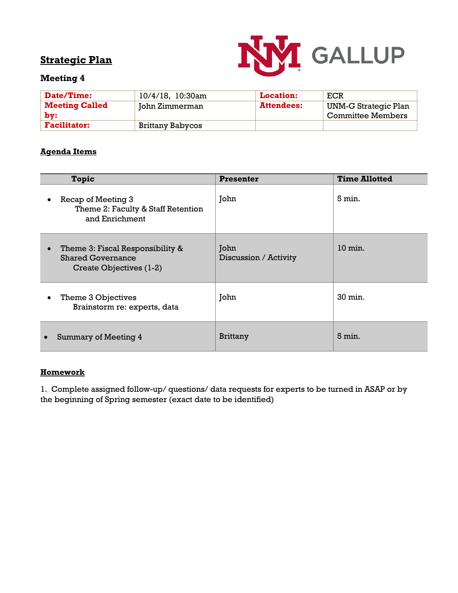

#### **Meeting 4**

| <b>Date/Time:</b>            | 10/4/18, 10:30am | <b>Location:</b>  | ECR                                              |
|------------------------------|------------------|-------------------|--------------------------------------------------|
| <b>Meeting Called</b><br>bv: | John Zimmerman   | <b>Attendees:</b> | UNM-G Strategic Plan<br><b>Committee Members</b> |
| <b>Facilitator:</b>          | Brittany Babycos |                   |                                                  |

#### **Agenda Items**

| <b>Topic</b>                                                                                         | <b>Presenter</b>              | <b>Time Allotted</b>  |
|------------------------------------------------------------------------------------------------------|-------------------------------|-----------------------|
| Recap of Meeting 3<br>Theme 2: Faculty & Staff Retention<br>and Enrichment                           | John                          | $5 \text{ min}$ .     |
| Theme 3: Fiscal Responsibility &<br>$\bullet$<br><b>Shared Governance</b><br>Create Objectives (1-2) | John<br>Discussion / Activity | $10 \,\mathrm{min}$ . |
| Theme 3 Objectives<br>$\bullet$<br>Brainstorm re: experts, data                                      | John                          | 30 min.               |
| <b>Summary of Meeting 4</b>                                                                          | <b>Brittany</b>               | $5 \text{ min.}$      |

#### **Homework**

1. Complete assigned follow-up/ questions/ data requests for experts to be turned in ASAP or by the beginning of Spring semester (exact date to be identified)